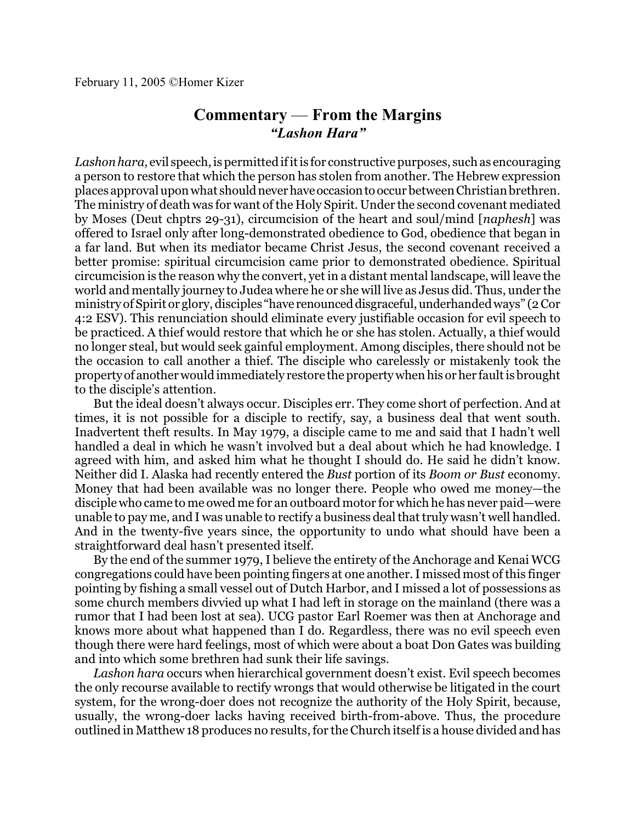## **Commentary** — **From the Margins** *"Lashon Hara"*

*Lashon hara,* evil speech, is permitted ifitis for constructive purposes, such as encouraging a person to restore that which the person has stolen from another. The Hebrew expression places approval upon what shouldneverhaveoccasiontooccur between Christian brethren. The ministry of death was for want of the Holy Spirit. Under the second covenant mediated by Moses (Deut chptrs 29-31), circumcision of the heart and soul/mind [*naphesh*] was offered to Israel only after long-demonstrated obedience to God, obedience that began in a far land. But when its mediator became Christ Jesus, the second covenant received a better promise: spiritual circumcision came prior to demonstrated obedience. Spiritual circumcision is the reason why the convert, yet in a distant mental landscape, will leave the world and mentally journey to Judea where he or she will live as Jesus did. Thus, under the ministry of Spirit or glory, disciples "have renounced disgraceful, underhanded ways" (2 Cor 4:2 ESV). This renunciation should eliminate every justifiable occasion for evil speech to be practiced. A thief would restore that which he or she has stolen. Actually, a thief would no longer steal, but would seek gainful employment. Among disciples, there should not be the occasion to call another a thief. The disciple who carelessly or mistakenly took the propertyof another would immediately restore the property when his or her faultis brought to the disciple's attention.

But the ideal doesn't always occur. Disciples err. They come short of perfection. And at times, it is not possible for a disciple to rectify, say, a business deal that went south. Inadvertent theft results. In May 1979, a disciple came to me and said that I hadn't well handled a deal in which he wasn't involved but a deal about which he had knowledge. I agreed with him, and asked him what he thought I should do. He said he didn't know. Neither did I. Alaska had recently entered the *Bust* portion of its *Boom or Bust* economy. Money that had been available was no longer there. People who owed me money—the disciple who came to me owed me for an outboard motor for which he has never paid—were unable to pay me, and I was unable to rectify a business deal that truly wasn't well handled. And in the twenty-five years since, the opportunity to undo what should have been a straightforward deal hasn't presented itself.

By the end of the summer 1979, I believe the entirety of the Anchorage and Kenai WCG congregations could have been pointing fingers at one another. I missed most of this finger pointing by fishing a small vessel out of Dutch Harbor, and I missed a lot of possessions as some church members divvied up what I had left in storage on the mainland (there was a rumor that I had been lost at sea). UCG pastor Earl Roemer was then at Anchorage and knows more about what happened than I do. Regardless, there was no evil speech even though there were hard feelings, most of which were about a boat Don Gates was building and into which some brethren had sunk their life savings.

*Lashon hara* occurs when hierarchical government doesn't exist. Evil speech becomes the only recourse available to rectify wrongs that would otherwise be litigated in the court system, for the wrong-doer does not recognize the authority of the Holy Spirit, because, usually, the wrong-doer lacks having received birth-from-above. Thus, the procedure outlined in Matthew 18 produces no results, for the Church itself is a house divided and has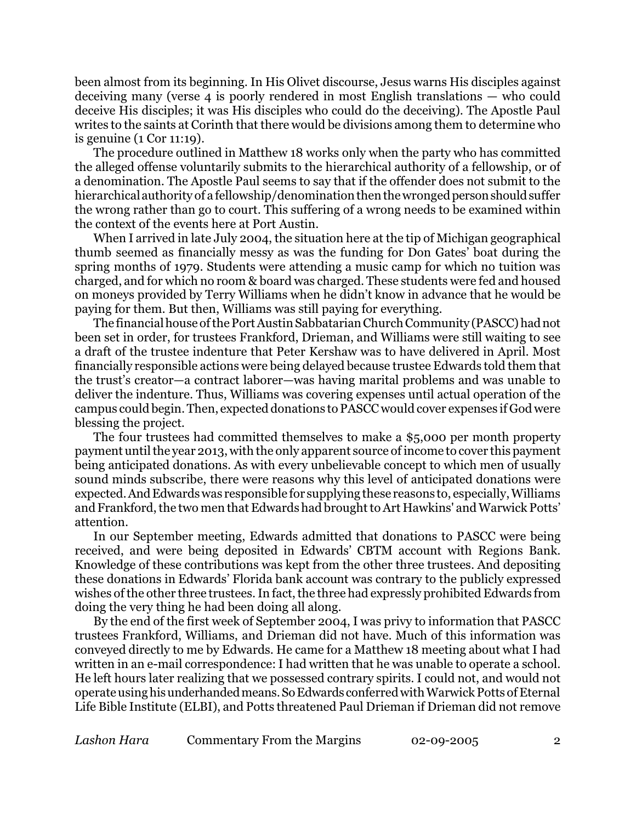been almost from its beginning. In His Olivet discourse, Jesus warns His disciples against deceiving many (verse 4 is poorly rendered in most English translations — who could deceive His disciples; it was His disciples who could do the deceiving). The Apostle Paul writes to the saints at Corinth that there would be divisions among them to determine who is genuine (1 Cor 11:19).

The procedure outlined in Matthew 18 works only when the party who has committed the alleged offense voluntarily submits to the hierarchical authority of a fellowship, or of a denomination. The Apostle Paul seems to say that if the offender does not submit to the hierarchical authority of a fellowship/denomination then the wronged person should suffer the wrong rather than go to court. This suffering of a wrong needs to be examined within the context of the events here at Port Austin.

When I arrived in late July 2004, the situation here at the tip of Michigan geographical thumb seemed as financially messy as was the funding for Don Gates' boat during the spring months of 1979. Students were attending a music camp for which no tuition was charged, and for which no room & board was charged. These students were fed and housed on moneys provided by Terry Williams when he didn't know in advance that he would be paying for them. But then, Williams was still paying for everything.

The financial house of the Port Austin Sabbatarian Church Community (PASCC) had not been set in order, for trustees Frankford, Drieman, and Williams were still waiting to see a draft of the trustee indenture that Peter Kershaw was to have delivered in April. Most financially responsible actions were being delayed because trustee Edwards told them that the trust's creator—a contract laborer—was having marital problems and was unable to deliver the indenture. Thus, Williams was covering expenses until actual operation of the campus could begin. Then, expected donations to PASCC would cover expenses if God were blessing the project.

The four trustees had committed themselves to make a \$5,000 per month property paymentuntil the year 2013, with the only apparent source of income to cover this payment being anticipated donations. As with every unbelievable concept to which men of usually sound minds subscribe, there were reasons why this level of anticipated donations were expected.AndEdwards was responsible for supplying these reasons to, especially, Williams and Frankford, the two men that Edwards had brought to Art Hawkins' and Warwick Potts' attention.

In our September meeting, Edwards admitted that donations to PASCC were being received, and were being deposited in Edwards' CBTM account with Regions Bank. Knowledge of these contributions was kept from the other three trustees. And depositing these donations in Edwards' Florida bank account was contrary to the publicly expressed wishes of the other three trustees. In fact, the three had expressly prohibited Edwards from doing the very thing he had been doing all along.

By the end of the first week of September 2004, I was privy to information that PASCC trustees Frankford, Williams, and Drieman did not have. Much of this information was conveyed directly to me by Edwards. He came for a Matthew 18 meeting about what I had written in an e-mail correspondence: I had written that he was unable to operate a school. He left hours later realizing that we possessed contrary spirits. I could not, and would not operate using his underhanded means. So Edwards conferred with Warwick Potts of Eternal Life Bible Institute (ELBI), and Potts threatened Paul Drieman if Drieman did not remove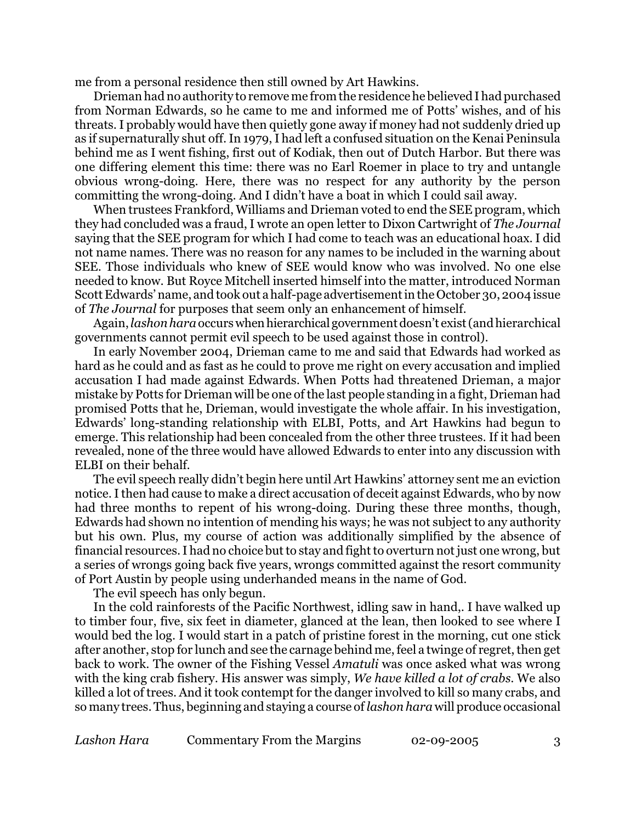me from a personal residence then still owned by Art Hawkins.

Drieman had no authority to remove me from the residence he believed I had purchased from Norman Edwards, so he came to me and informed me of Potts' wishes, and of his threats. I probably would have then quietly gone away if money had not suddenly dried up as if supernaturally shut off. In 1979, I had left a confused situation on the Kenai Peninsula behind me as I went fishing, first out of Kodiak, then out of Dutch Harbor. But there was one differing element this time: there was no Earl Roemer in place to try and untangle obvious wrong-doing. Here, there was no respect for any authority by the person committing the wrong-doing. And I didn't have a boat in which I could sail away.

When trustees Frankford, Williams and Drieman voted to end the SEE program, which they had concluded was a fraud, I wrote an open letter to Dixon Cartwright of *The Journal* saying that the SEE program for which I had come to teach was an educational hoax. I did not name names. There was no reason for any names to be included in the warning about SEE. Those individuals who knew of SEE would know who was involved. No one else needed to know. But Royce Mitchell inserted himself into the matter, introduced Norman Scott Edwards' name, and took out a half-page advertisement in the October 30, 2004 issue of *The Journal* for purposes that seem only an enhancement of himself.

Again,*lashon hara*occurs whenhierarchical governmentdoesn't exist(and hierarchical governments cannot permit evil speech to be used against those in control).

In early November 2004, Drieman came to me and said that Edwards had worked as hard as he could and as fast as he could to prove me right on every accusation and implied accusation I had made against Edwards. When Potts had threatened Drieman, a major mistake by Potts for Drieman will be one of the last people standing in a fight, Drieman had promised Potts that he, Drieman, would investigate the whole affair. In his investigation, Edwards' long-standing relationship with ELBI, Potts, and Art Hawkins had begun to emerge. This relationship had been concealed from the other three trustees. If it had been revealed, none of the three would have allowed Edwards to enter into any discussion with ELBI on their behalf.

The evil speech really didn't begin here until Art Hawkins' attorney sent me an eviction notice. I then had cause to make a direct accusation of deceit against Edwards, who by now had three months to repent of his wrong-doing. During these three months, though, Edwards had shown no intention of mending his ways; he was not subject to any authority but his own. Plus, my course of action was additionally simplified by the absence of financial resources. I had no choice but to stay and fight to overturn not just one wrong, but a series of wrongs going back five years, wrongs committed against the resort community of Port Austin by people using underhanded means in the name of God.

The evil speech has only begun.

In the cold rainforests of the Pacific Northwest, idling saw in hand,. I have walked up to timber four, five, six feet in diameter, glanced at the lean, then looked to see where I would bed the log. I would start in a patch of pristine forest in the morning, cut one stick after another, stop for lunch and see the carnage behind me, feel a twinge of regret, then get back to work. The owner of the Fishing Vessel *Amatuli* was once asked what was wrong with the king crab fishery. His answer was simply, *We have killed a lot of crabs*. We also killed a lot of trees. And it took contempt for the danger involved to kill so many crabs, and so many trees. Thus, beginning and staying a course of*lashon hara* will produce occasional